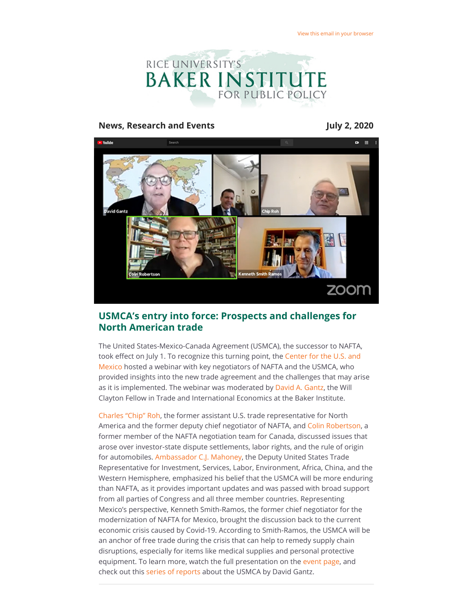

#### **News, Research and Events July 2, 2020**



## **USMCA's entry into force: Prospects and challenges for North American trade**

The United States-Mexico-Canada Agreement (USMCA), the successor to NAFTA, took effect on July 1. To recognize this turning point, the Center for the U.S. and Mexico hosted a webinar with key negotiators of NAFTA and the USMCA, who provided insights into the new trade agreement and the challenges that may arise as it is implemented. The webinar was moderated by [David A. Gantz,](https://riceconnect.rice.edu/page.redir?target=https%3a%2f%2fwww.bakerinstitute.org%2fexperts%2fdavid-a-gantz%2f&srcid=143006&srctid=1&erid=0d463016-765b-4c15-98b2-cb1c7510ff1e&trid=0d463016-765b-4c15-98b2-cb1c7510ff1e) the Will Clayton Fellow in Trade and International Economics at the Baker Institute.

[Charles "Chip" Roh,](https://riceconnect.rice.edu/page.redir?target=https%3a%2f%2fwww.weil.com%2fpeople%2fcharles-roh&srcid=143006&srctid=1&erid=0d463016-765b-4c15-98b2-cb1c7510ff1e&trid=0d463016-765b-4c15-98b2-cb1c7510ff1e) the former assistant U.S. trade representative for North America and the former deputy chief negotiator of NAFTA, and [Colin Robertson](https://riceconnect.rice.edu/page.redir?target=https%3a%2f%2fwww.colinrobertson.ca%2f%3fpage_id%3d2&srcid=143006&srctid=1&erid=0d463016-765b-4c15-98b2-cb1c7510ff1e&trid=0d463016-765b-4c15-98b2-cb1c7510ff1e), a former member of the NAFTA negotiation team for Canada, discussed issues that arose over investor-state dispute settlements, labor rights, and the rule of origin for automobiles. [Ambassador C.J. Mahoney](https://riceconnect.rice.edu/page.redir?target=https%3a%2f%2fustr.gov%2fabout-us%2fbiographies-key-officials%2fdeputy-united-states-trade-representative-cj-mahoney&srcid=143006&srctid=1&erid=0d463016-765b-4c15-98b2-cb1c7510ff1e&trid=0d463016-765b-4c15-98b2-cb1c7510ff1e), the Deputy United States Trade Representative for Investment, Services, Labor, Environment, Africa, China, and the Western Hemisphere, emphasized his belief that the USMCA will be more enduring than NAFTA, as it provides important updates and was passed with broad support from all parties of Congress and all three member countries. Representing Mexico's perspective, Kenneth Smith-Ramos, the former chief negotiator for the modernization of NAFTA for Mexico, brought the discussion back to the current economic crisis caused by Covid-19. According to Smith-Ramos, the USMCA will be an anchor of free trade during the crisis that can help to remedy supply chain disruptions, especially for items like medical supplies and personal protective equipment. To learn more, watch the full presentation on the [event page,](https://riceconnect.rice.edu/page.redir?target=https%3a%2f%2fwww.bakerinstitute.org%2fevents%2f2099%2f&srcid=143006&srctid=1&erid=0d463016-765b-4c15-98b2-cb1c7510ff1e&trid=0d463016-765b-4c15-98b2-cb1c7510ff1e) and check out this [series of reports](https://riceconnect.rice.edu/page.redir?target=https%3a%2f%2fwww.bakerinstitute.org%2fresearch%2f%3fquery%3dUSMCA%26research_focus%3d%26research_type%3d%26expert%3d220%26area%3d&srcid=143006&srctid=1&erid=0d463016-765b-4c15-98b2-cb1c7510ff1e&trid=0d463016-765b-4c15-98b2-cb1c7510ff1e) about the USMCA by David Gantz.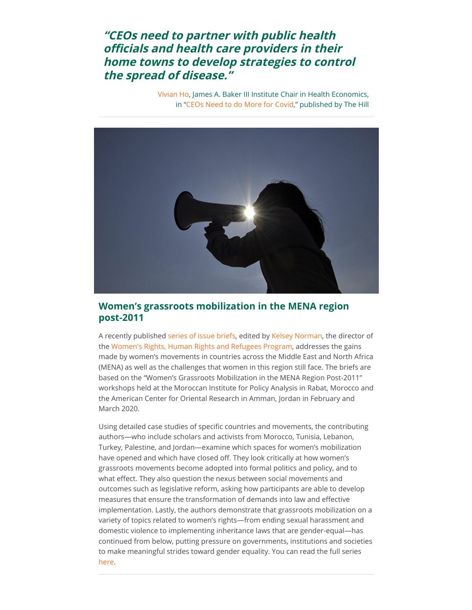# **"CEOs need to partner with public health officials and health care providers in their home towns to develop strategies to control the spread of disease."**

[Vivian Ho](https://riceconnect.rice.edu/page.redir?target=https%3a%2f%2fwww.bakerinstitute.org%2fexperts%2fvivian-ho%2f&srcid=143006&srctid=1&erid=0d463016-765b-4c15-98b2-cb1c7510ff1e&trid=0d463016-765b-4c15-98b2-cb1c7510ff1e), James A. Baker III Institute Chair in Health Economics, in ["CEOs Need to do More for Covid,](https://riceconnect.rice.edu/page.redir?target=http%3a%2f%2fthehill.com%2fopinion%2fhealthcare%2f503888-ceos-need-to-do-more-for-covid-19&srcid=143006&srctid=1&erid=0d463016-765b-4c15-98b2-cb1c7510ff1e&trid=0d463016-765b-4c15-98b2-cb1c7510ff1e)" published by The Hill



### **Women's grassroots mobilization in the MENA region post-2011**

A recently published [series of issue briefs](https://riceconnect.rice.edu/page.redir?target=https%3a%2f%2fwww.bakerinstitute.org%2fresearch%2fwomens-grassroots-mobilization-mena-region-post-2011%2f&srcid=143006&srctid=1&erid=0d463016-765b-4c15-98b2-cb1c7510ff1e&trid=0d463016-765b-4c15-98b2-cb1c7510ff1e), edited by [Kelsey Norman](https://riceconnect.rice.edu/page.redir?target=https%3a%2f%2fwww.bakerinstitute.org%2fexperts%2fkelsey-norman%2f&srcid=143006&srctid=1&erid=0d463016-765b-4c15-98b2-cb1c7510ff1e&trid=0d463016-765b-4c15-98b2-cb1c7510ff1e), the director of the [Women's Rights, Human Rights and Refugees Program](https://riceconnect.rice.edu/page.redir?target=https%3a%2f%2fwww.bakerinstitute.org%2fcenter-for-the-middle-east%2fwomen-and-human-rights-in-the-middle-east%2f&srcid=143006&srctid=1&erid=0d463016-765b-4c15-98b2-cb1c7510ff1e&trid=0d463016-765b-4c15-98b2-cb1c7510ff1e), addresses the gains made by women's movements in countries across the Middle East and North Africa (MENA) as well as the challenges that women in this region still face. The briefs are based on the "Women's Grassroots Mobilization in the MENA Region Post-2011" workshops held at the Moroccan Institute for Policy Analysis in Rabat, Morocco and the American Center for Oriental Research in Amman, Jordan in February and March 2020.

Using detailed case studies of specific countries and movements, the contributing authors—who include scholars and activists from Morocco, Tunisia, Lebanon, Turkey, Palestine, and Jordan—examine which spaces for women's mobilization have opened and which have closed off. They look critically at how women's grassroots movements become adopted into formal politics and policy, and to what effect. They also question the nexus between social movements and outcomes such as legislative reform, asking how participants are able to develop measures that ensure the transformation of demands into law and effective implementation. Lastly, the authors demonstrate that grassroots mobilization on a variety of topics related to women's rights—from ending sexual harassment and domestic violence to implementing inheritance laws that are gender-equal—has continued from below, putting pressure on governments, institutions and societies to make meaningful strides toward gender equality. You can read the full series [here.](https://riceconnect.rice.edu/page.redir?target=https%3a%2f%2fwww.bakerinstitute.org%2fresearch%2fwomens-grassroots-mobilization-mena-region-post-2011%2f&srcid=143006&srctid=1&erid=0d463016-765b-4c15-98b2-cb1c7510ff1e&trid=0d463016-765b-4c15-98b2-cb1c7510ff1e)